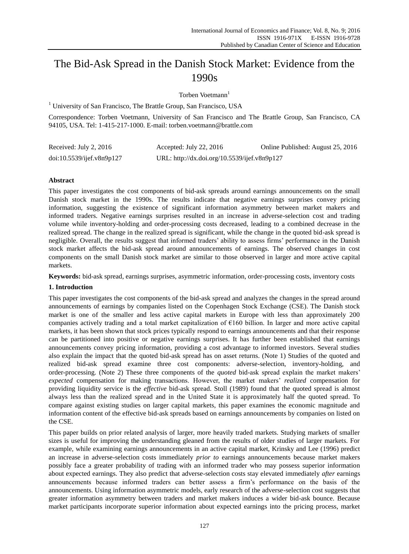# The Bid-Ask Spread in the Danish Stock Market: Evidence from the 1990s

Torben Voetmann<sup>1</sup>

 $<sup>1</sup>$  University of San Francisco, The Brattle Group, San Francisco, USA</sup>

Correspondence: Torben Voetmann, University of San Francisco and The Brattle Group, San Francisco, CA 94105, USA. Tel: 1-415-217-1000. E-mail: torben.voetmann@brattle.com

| Received: July 2, 2016    | Accepted: July 22, 2016                      | Online Published: August 25, 2016 |
|---------------------------|----------------------------------------------|-----------------------------------|
| doi:10.5539/ijef.v8n9p127 | URL: http://dx.doi.org/10.5539/ijef.v8n9p127 |                                   |

## **Abstract**

This paper investigates the cost components of bid-ask spreads around earnings announcements on the small Danish stock market in the 1990s. The results indicate that negative earnings surprises convey pricing information, suggesting the existence of significant information asymmetry between market makers and informed traders. Negative earnings surprises resulted in an increase in adverse-selection cost and trading volume while inventory-holding and order-processing costs decreased, leading to a combined decrease in the realized spread. The change in the realized spread is significant, while the change in the quoted bid-ask spread is negligible. Overall, the results suggest that informed traders' ability to assess firms' performance in the Danish stock market affects the bid-ask spread around announcements of earnings. The observed changes in cost components on the small Danish stock market are similar to those observed in larger and more active capital markets.

**Keywords:** bid-ask spread, earnings surprises, asymmetric information, order-processing costs, inventory costs

## **1. Introduction**

This paper investigates the cost components of the bid-ask spread and analyzes the changes in the spread around announcements of earnings by companies listed on the Copenhagen Stock Exchange (CSE). The Danish stock market is one of the smaller and less active capital markets in Europe with less than approximately 200 companies actively trading and a total market capitalization of  $\epsilon$ 160 billion. In larger and more active capital markets, it has been shown that stock prices typically respond to earnings announcements and that their response can be partitioned into positive or negative earnings surprises. It has further been established that earnings announcements convey pricing information, providing a cost advantage to informed investors. Several studies also explain the impact that the quoted bid-ask spread has on asset returns. (Note 1) Studies of the quoted and realized bid-ask spread examine three cost components: adverse-selection, inventory-holding, and order-processing. (Note 2) These three components of the *quoted* bid-ask spread explain the market makers' *expected* compensation for making transactions. However, the market makers' *realized* compensation for providing liquidity service is the *effective* bid-ask spread. Stoll (1989) found that the quoted spread is almost always less than the realized spread and in the United State it is approximately half the quoted spread. To compare against existing studies on larger capital markets, this paper examines the economic magnitude and information content of the effective bid-ask spreads based on earnings announcements by companies on listed on the CSE.

This paper builds on prior related analysis of larger, more heavily traded markets. Studying markets of smaller sizes is useful for improving the understanding gleaned from the results of older studies of larger markets. For example, while examining earnings announcements in an active capital market, Krinsky and Lee (1996) predict an increase in adverse-selection costs immediately *prior to* earnings announcements because market makers possibly face a greater probability of trading with an informed trader who may possess superior information about expected earnings. They also predict that adverse-selection costs stay elevated immediately *after* earnings announcements because informed traders can better assess a firm's performance on the basis of the announcements. Using information asymmetric models, early research of the adverse-selection cost suggests that greater information asymmetry between traders and market makers induces a wider bid-ask bounce. Because market participants incorporate superior information about expected earnings into the pricing process, market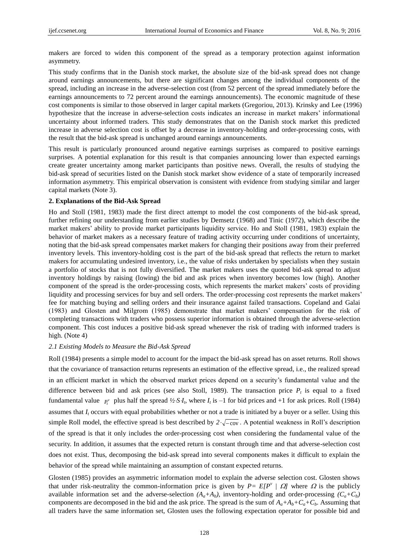makers are forced to widen this component of the spread as a temporary protection against information asymmetry.

This study confirms that in the Danish stock market, the absolute size of the bid-ask spread does not change around earnings announcements, but there are significant changes among the individual components of the spread, including an increase in the adverse-selection cost (from 52 percent of the spread immediately before the earnings announcements to 72 percent around the earnings announcements). The economic magnitude of these cost components is similar to those observed in larger capital markets (Gregoriou, 2013). Krinsky and Lee (1996) hypothesize that the increase in adverse-selection costs indicates an increase in market makers' informational uncertainty about informed traders. This study demonstrates that on the Danish stock market this predicted increase in adverse selection cost is offset by a decrease in inventory-holding and order-processing costs, with the result that the bid-ask spread is unchanged around earnings announcements.

This result is particularly pronounced around negative earnings surprises as compared to positive earnings surprises. A potential explanation for this result is that companies announcing lower than expected earnings create greater uncertainty among market participants than positive news. Overall, the results of studying the bid-ask spread of securities listed on the Danish stock market show evidence of a state of temporarily increased information asymmetry. This empirical observation is consistent with evidence from studying similar and larger capital markets (Note 3).

#### **2. Explanations of the Bid-Ask Spread**

Ho and Stoll (1981, 1983) made the first direct attempt to model the cost components of the bid-ask spread, further refining our understanding from earlier studies by Demsetz (1968) and Tinic (1972), which describe the market makers' ability to provide market participants liquidity service. Ho and Stoll (1981, 1983) explain the behavior of market makers as a necessary feature of trading activity occurring under conditions of uncertainty, noting that the bid-ask spread compensates market makers for changing their positions away from their preferred inventory levels. This inventory-holding cost is the part of the bid-ask spread that reflects the return to market makers for accumulating undesired inventory, i.e., the value of risks undertaken by specialists when they sustain a portfolio of stocks that is not fully diversified. The market makers uses the quoted bid-ask spread to adjust inventory holdings by raising (lowing) the bid and ask prices when inventory becomes low (high). Another component of the spread is the order-processing costs, which represents the market makers' costs of providing liquidity and processing services for buy and sell orders. The order-processing cost represents the market makers' fee for matching buying and selling orders and their insurance against failed transactions. Copeland and Galai (1983) and Glosten and Milgrom (1985) demonstrate that market makers' compensation for the risk of completing transactions with traders who possess superior information is obtained through the adverse-selection component. This cost induces a positive bid-ask spread whenever the risk of trading with informed traders is high. (Note 4)

#### *2.1 Existing Models to Measure the Bid-Ask Spread*

Roll (1984) presents a simple model to account for the impact the bid-ask spread has on asset returns. Roll shows that the covariance of transaction returns represents an estimation of the effective spread, i.e., the realized spread in an efficient market in which the observed market prices depend on a security's fundamental value and the difference between bid and ask prices (see also Stoll, 1989). The transaction price  $P_t$  is equal to a fixed fundamental value  $P_t^v$  plus half the spread  $\frac{1}{2} S I_t$ , where  $I_t$  is  $-1$  for bid prices and  $+1$  for ask prices. Roll (1984) assumes that  $I_t$  occurs with equal probabilities whether or not a trade is initiated by a buyer or a seller. Using this simple Roll model, the effective spread is best described by  $2\sqrt{-\text{cov}}$ . A potential weakness in Roll's description of the spread is that it only includes the order-processing cost when considering the fundamental value of the security. In addition, it assumes that the expected return is constant through time and that adverse-selection cost does not exist. Thus, decomposing the bid-ask spread into several components makes it difficult to explain the behavior of the spread while maintaining an assumption of constant expected returns.

Glosten (1985) provides an asymmetric information model to explain the adverse selection cost. Glosten shows that under risk-neutrality the common-information price is given by  $P = E[P^{\nu} | Q]$  where  $\Omega$  is the publicly available information set and the adverse-selection  $(A_a + A_b)$ , inventory-holding and order-processing  $(C_a + C_b)$ components are decomposed in the bid and the ask price. The spread is the sum of  $A_a + A_b + C_a + C_b$ . Assuming that all traders have the same information set, Glosten uses the following expectation operator for possible bid and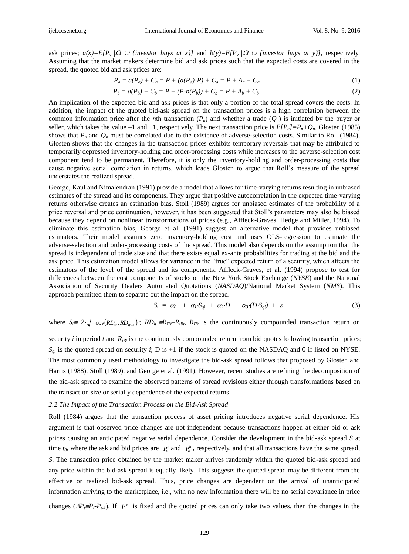ask prices;  $a(x)=E[P_v|\Omega \cup \{infty \text{st } v\}]$  and  $b(y)=E[P_v|\Omega \cup \{infty \text{st } v\}]$ , respectively. Assuming that the market makers determine bid and ask prices such that the expected costs are covered in the spread, the quoted bid and ask prices are:

$$
P_a = a(P_a) + C_a = P + (a(P_a) - P) + C_a = P + A_a + C_a \tag{1}
$$

$$
P_b = a(P_b) + C_b = P + (P-b(P_b)) + C_b = P + A_b + C_b \tag{2}
$$

An implication of the expected bid and ask prices is that only a portion of the total spread covers the costs. In addition, the impact of the quoted bid-ask spread on the transaction prices is a high correlation between the common information price after the *n*th transaction  $(P_n)$  and whether a trade  $(Q_n)$  is initiated by the buyer or seller, which takes the value –1 and +1, respectively. The next transaction price is  $E[P_n] = P_n + Q_n$ . Glosten (1985) shows that  $P_n$  and  $Q_n$  must be correlated due to the existence of adverse-selection costs. Similar to Roll (1984), Glosten shows that the changes in the transaction prices exhibits temporary reversals that may be attributed to temporarily depressed inventory-holding and order-processing costs while increases to the adverse-selection cost component tend to be permanent. Therefore, it is only the inventory-holding and order-processing costs that cause negative serial correlation in returns, which leads Glosten to argue that Roll's measure of the spread understates the realized spread.

George, Kaul and Nimalendran (1991) provide a model that allows for time-varying returns resulting in unbiased estimates of the spread and its components. They argue that positive autocorrelation in the expected time-varying returns otherwise creates an estimation bias. Stoll (1989) argues for unbiased estimates of the probability of a price reversal and price continuation, however, it has been suggested that Stoll's parameters may also be biased because they depend on nonlinear transformations of prices (e.g., Affleck-Graves, Hedge and Miller, 1994). To eliminate this estimation bias, George et al. (1991) suggest an alternative model that provides unbiased estimators. Their model assumes zero inventory-holding cost and uses OLS-regression to estimate the adverse-selection and order-processing costs of the spread. This model also depends on the assumption that the spread is independent of trade size and that there exists equal ex-ante probabilities for trading at the bid and the ask price. This estimation model allows for variance in the "true" expected return of a security, which affects the estimators of the level of the spread and its components. Affleck-Graves, et al. (1994) propose to test for differences between the cost components of stocks on the New York Stock Exchange (*NYSE*) and the National Association of Security Dealers Automated Quotations (*NASDAQ*)/National Market System (*NMS*). This approach permitted them to separate out the impact on the spread.

$$
S_i = \alpha_0 + \alpha_1 \cdot S_{qi} + \alpha_2 \cdot D + \alpha_3 \cdot (D \cdot S_{qi}) + \varepsilon \tag{3}
$$

where  $S_i = 2 \cdot \sqrt{-\text{cov}(RD_{ii}, RD_{ii-1})}$ ;  $RD_{it} = R_{iTt} - R_{ibt}$ ,  $R_{iTt}$  is the continuously compounded transaction return on

security  $i$  in period  $t$  and  $R_{iBt}$  is the continuously compounded return from bid quotes following transaction prices;  $S_{qi}$  is the quoted spread on security *i*; D is +1 if the stock is quoted on the NASDAQ and 0 if listed on NYSE. The most commonly used methodology to investigate the bid-ask spread follows that proposed by Glosten and Harris (1988), Stoll (1989), and George et al. (1991). However, recent studies are refining the decomposition of the bid-ask spread to examine the observed patterns of spread revisions either through transformations based on the transaction size or serially dependence of the expected returns.

#### *2.2 The Impact of the Transaction Process on the Bid-Ask Spread*

Roll (1984) argues that the transaction process of asset pricing introduces negative serial dependence. His argument is that observed price changes are not independent because transactions happen at either bid or ask prices causing an anticipated negative serial dependence. Consider the development in the bid-ask spread *S* at time  $t_0$ , where the ask and bid prices are  $P_o^a$  and  $P_o^b$ , respectively, and that all transactions have the same spread, *S*. The transaction price obtained by the market maker arrives randomly within the quoted bid-ask spread and any price within the bid-ask spread is equally likely. This suggests the quoted spread may be different from the effective or realized bid-ask spread. Thus, price changes are dependent on the arrival of unanticipated information arriving to the marketplace, i.e., with no new information there will be no serial covariance in price changes  $(\Delta P_f = P_f \cdot P_{t}I)$ . If  $P^{\nu}$  is fixed and the quoted prices can only take two values, then the changes in the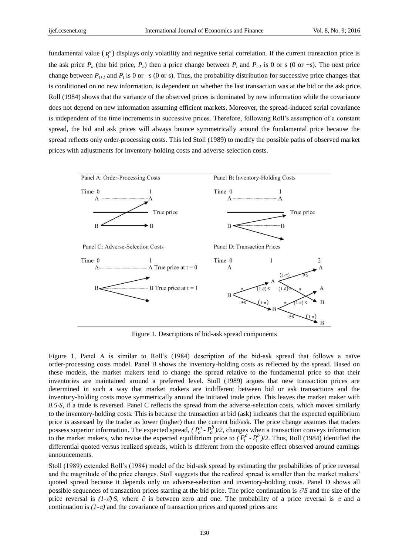fundamental value  $(P_t^v)$  displays only volatility and negative serial correlation. If the current transaction price is the ask price  $P_a$  (the bid price,  $P_b$ ) then a price change between  $P_t$  and  $P_{t-1}$  is 0 or s (0 or +s). The next price change between  $P_{t+1}$  and  $P_t$  is 0 or –s (0 or s). Thus, the probability distribution for successive price changes that is conditioned on no new information, is dependent on whether the last transaction was at the bid or the ask price. Roll (1984) shows that the variance of the observed prices is dominated by new information while the covariance does not depend on new information assuming efficient markets. Moreover, the spread-induced serial covariance is independent of the time increments in successive prices. Therefore, following Roll's assumption of a constant spread, the bid and ask prices will always bounce symmetrically around the fundamental price because the spread reflects only order-processing costs. This led Stoll (1989) to modify the possible paths of observed market prices with adjustments for inventory-holding costs and adverse-selection costs.



Figure 1. Descriptions of bid-ask spread components

Figure 1, Panel A is similar to Roll's (1984) description of the bid-ask spread that follows a naïve order-processing costs model. Panel B shows the inventory-holding costs as reflected by the spread. Based on these models, the market makers tend to change the spread relative to the fundamental price so that their inventories are maintained around a preferred level. Stoll (1989) argues that new transaction prices are determined in such a way that market makers are indifferent between bid or ask transactions and the inventory-holding costs move symmetrically around the initiated trade price. This leaves the market maker with *0.5S*, if a trade is reversed. Panel C reflects the spread from the adverse-selection costs, which moves similarly to the inventory-holding costs. This is because the transaction at bid (ask) indicates that the expected equilibrium price is assessed by the trader as lower (higher) than the current bid/ask. The price change assumes that traders possess superior information. The expected spread,  $(P_o^a - P_o^b)/2$ , changes when a transaction conveys information to the market makers, who revise the expected equilibrium price to  $(P_1^a - P_1^b)/2$ . Thus, Roll (1984) identified the differential quoted versus realized spreads, which is different from the opposite effect observed around earnings announcements.

Stoll (1989) extended Roll's (1984) model of the bid-ask spread by estimating the probabilities of price reversal and the magnitude of the price changes. Stoll suggests that the realized spread is smaller than the market makers' quoted spread because it depends only on adverse-selection and inventory-holding costs. Panel D shows all possible sequences of transaction prices starting at the bid price. The price continuation is  $\partial S$  and the size of the price reversal is  $(1-\partial)$ *S*, where  $\partial$  is between zero and one. The probability of a price reversal is  $\pi$  and a continuation is  $(1-\pi)$  and the covariance of transaction prices and quoted prices are: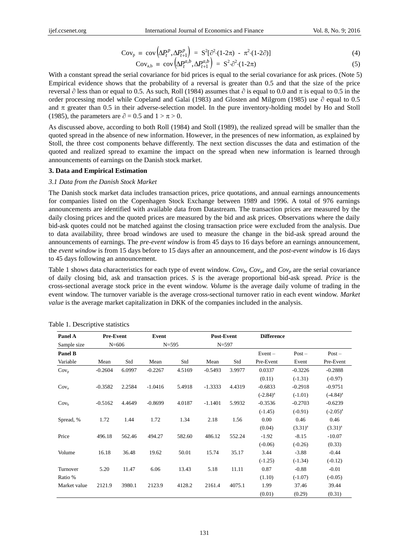$$
Cov_p \equiv cov(\Delta P_t^p, \Delta P_{t+1}^p) = S^2[\partial^2 (1-2\pi) - \pi^2 (1-2\partial)] \tag{4}
$$

$$
Cov_{a,b} \equiv cov\left(\Delta P_t^{a,b}, \Delta P_{t+1}^{a,b}\right) = S^2 \cdot \partial^2 \cdot (1 - 2\pi) \tag{5}
$$

With a constant spread the serial covariance for bid prices is equal to the serial covariance for ask prices. (Note 5) Empirical evidence shows that the probability of a reversal is greater than 0.5 and that the size of the price reversal  $\partial$  less than or equal to 0.5. As such, Roll (1984) assumes that  $\partial$  is equal to 0.0 and  $\pi$  is equal to 0.5 in the order processing model while Copeland and Galai (1983) and Glosten and Milgrom (1985) use  $\partial$  equal to 0.5 and  $\pi$  greater than 0.5 in their adverse-selection model. In the pure inventory-holding model by Ho and Stoll (1985), the parameters are  $\partial = 0.5$  and  $1 > \pi > 0$ .

As discussed above, according to both Roll (1984) and Stoll (1989), the realized spread will be smaller than the quoted spread in the absence of new information. However, in the presences of new information, as explained by Stoll, the three cost components behave differently. The next section discusses the data and estimation of the quoted and realized spread to examine the impact on the spread when new information is learned through announcements of earnings on the Danish stock market.

#### **3. Data and Empirical Estimation**

#### *3.1 Data from the Danish Stock Market*

The Danish stock market data includes transaction prices, price quotations, and annual earnings announcements for companies listed on the Copenhagen Stock Exchange between 1989 and 1996. A total of 976 earnings announcements are identified with available data from Datastream. The transaction prices are measured by the daily closing prices and the quoted prices are measured by the bid and ask prices. Observations where the daily bid-ask quotes could not be matched against the closing transaction price were excluded from the analysis. Due to data availability, three broad windows are used to measure the change in the bid-ask spread around the announcements of earnings. The *pre-event window* is from 45 days to 16 days before an earnings announcement, the *event window* is from 15 days before to 15 days after an announcement, and the *post-event window* is 16 days to 45 days following an announcement.

Table 1 shows data characteristics for each type of event window.  $Cov_b$ ,  $Cov_a$ , and  $Cov_b$  are the serial covariance of daily closing bid, ask and transaction prices. *S* is the average proportional bid-ask spread. *Price* is the cross-sectional average stock price in the event window. *Volume* is the average daily volume of trading in the event window. The turnover variable is the average cross-sectional turnover ratio in each event window. *Market value* is the average market capitalization in DKK of the companies included in the analysis.

| Panel A          | <b>Pre-Event</b> |           | Event     |           | Post-Event |           | <b>Difference</b> |              |               |
|------------------|------------------|-----------|-----------|-----------|------------|-----------|-------------------|--------------|---------------|
| Sample size      |                  | $N = 606$ |           | $N = 595$ |            | $N = 597$ |                   |              |               |
| Panel B          |                  |           |           |           |            |           | $Event -$         | $Post -$     | $Post -$      |
| Variable         | Mean             | Std       | Mean      | Std       | Mean       | Std       | Pre-Event         | Event        | Pre-Event     |
| $Cov_p$          | $-0.2604$        | 6.0997    | $-0.2267$ | 4.5169    | $-0.5493$  | 3.9977    | 0.0337            | $-0.3226$    | $-0.2888$     |
|                  |                  |           |           |           |            |           | (0.11)            | $(-1.31)$    | $(-0.97)$     |
| $Cov_a$          | $-0.3582$        | 2.2584    | $-1.0416$ | 5.4918    | $-1.3333$  | 4.4319    | $-0.6833$         | $-0.2918$    | $-0.9751$     |
|                  |                  |           |           |           |            |           | $(-2.84)^a$       | $(-1.01)$    | $(-4.84)^a$   |
| Cov <sub>b</sub> | $-0.5162$        | 4.4649    | $-0.8699$ | 4.0187    | $-1.1401$  | 5.9932    | $-0.3536$         | $-0.2703$    | $-0.6239$     |
|                  |                  |           |           |           |            |           | $(-1.45)$         | $(-0.91)$    | $(-2.05)^{a}$ |
| Spread, %        | 1.72             | 1.44      | 1.72      | 1.34      | 2.18       | 1.56      | 0.00              | 0.46         | 0.46          |
|                  |                  |           |           |           |            |           | (0.04)            | $(3.31)^{a}$ | $(3.31)^{a}$  |
| Price            | 496.18           | 562.46    | 494.27    | 582.60    | 486.12     | 552.24    | $-1.92$           | $-8.15$      | $-10.07$      |
|                  |                  |           |           |           |            |           | $(-0.06)$         | $(-0.26)$    | (0.33)        |
| Volume           | 16.18            | 36.48     | 19.62     | 50.01     | 15.74      | 35.17     | 3.44              | $-3.88$      | $-0.44$       |
|                  |                  |           |           |           |            |           | $(-1.25)$         | $(-1.34)$    | $(-0.12)$     |
| Turnover         | 5.20             | 11.47     | 6.06      | 13.43     | 5.18       | 11.11     | 0.87              | $-0.88$      | $-0.01$       |
| Ratio %          |                  |           |           |           |            |           | (1.10)            | $(-1.07)$    | $(-0.05)$     |
| Market value     | 2121.9           | 3980.1    | 2123.9    | 4128.2    | 2161.4     | 4075.1    | 1.99              | 37.46        | 39.44         |
|                  |                  |           |           |           |            |           | (0.01)            | (0.29)       | (0.31)        |

Table 1. Descriptive statistics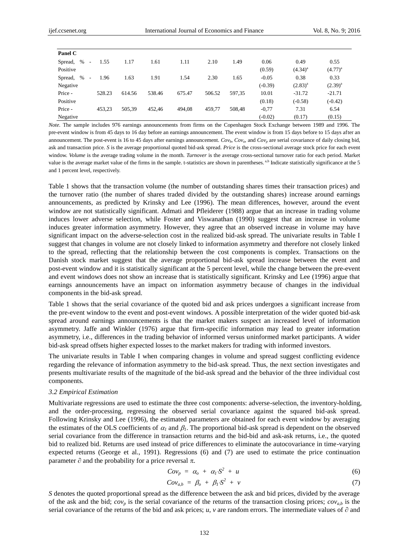| Panel C                                     |        |        |        |        |        |        |           |              |              |
|---------------------------------------------|--------|--------|--------|--------|--------|--------|-----------|--------------|--------------|
| $\%$<br>Spread,<br>$\overline{\phantom{a}}$ | 1.55   | 1.17   | 1.61   | 1.11   | 2.10   | 1.49   | 0.06      | 0.49         | 0.55         |
| Positive                                    |        |        |        |        |        |        | (0.59)    | $(4.34)^{a}$ | $(4.77)^{a}$ |
| $\%$<br>Spread,<br>$\overline{\phantom{a}}$ | 1.96   | 1.63   | 1.91   | 1.54   | 2.30   | 1.65   | $-0.05$   | 0.38         | 0.33         |
| Negative                                    |        |        |        |        |        |        | $(-0.39)$ | $(2.83)^{a}$ | $(2.39)^{a}$ |
| Price -                                     | 528.23 | 614.56 | 538.46 | 675.47 | 506.52 | 597,35 | 10.01     | $-31.72$     | $-21.71$     |
| Positive                                    |        |        |        |        |        |        | (0.18)    | $(-0.58)$    | $(-0.42)$    |
| Price -                                     | 453,23 | 505,39 | 452.46 | 494.08 | 459,77 | 508,48 | $-0.77$   | 7.31         | 6.54         |
| Negative                                    |        |        |        |        |        |        | $(-0.02)$ | (0.17)       | (0.15)       |

*Note.* The sample includes 976 earnings announcements from firms on the Copenhagen Stock Exchange between 1989 and 1996. The pre-event window is from 45 days to 16 day before an earnings announcement. The event window is from 15 days before to 15 days after an announcement. The post-event is 16 to 45 days after earnings announcement.  $Cov_b$ ,  $Cov_a$  and  $Cov_a$  are serial covariance of daily closing bid, ask and transaction price. *S* is the average proportional quoted bid-ask spread. *Price* is the cross-sectional average stock price for each event window. *Volume* is the average trading volume in the month. *Turnover* is the average cross-sectional turnover ratio for each period. Market value is the average market value of the firms in the sample. t-statistics are shown in parentheses.<sup>a,b</sup> Indicate statistically significance at the 5 and 1 percent level, respectively.

Table 1 shows that the transaction volume (the number of outstanding shares times their transaction prices) and the turnover ratio (the number of shares traded divided by the outstanding shares) increase around earnings announcements, as predicted by Krinsky and Lee (1996). The mean differences, however, around the event window are not statistically significant. Admati and Pfleiderer (1988) argue that an increase in trading volume induces lower adverse selection, while Foster and Viswanathan (1990) suggest that an increase in volume induces greater information asymmetry. However, they agree that an observed increase in volume may have significant impact on the adverse-selection cost in the realized bid-ask spread. The univariate results in Table I suggest that changes in volume are not closely linked to information asymmetry and therefore not closely linked to the spread, reflecting that the relationship between the cost components is complex. Transactions on the Danish stock market suggest that the average proportional bid-ask spread increase between the event and post-event window and it is statistically significant at the 5 percent level, while the change between the pre-event and event windows does not show an increase that is statistically significant. Krinsky and Lee (1996) argue that earnings announcements have an impact on information asymmetry because of changes in the individual components in the bid-ask spread.

Table 1 shows that the serial covariance of the quoted bid and ask prices undergoes a significant increase from the pre-event window to the event and post-event windows. A possible interpretation of the wider quoted bid-ask spread around earnings announcements is that the market makers suspect an increased level of information asymmetry. Jaffe and Winkler (1976) argue that firm-specific information may lead to greater information asymmetry, i.e., differences in the trading behavior of informed versus uninformed market participants. A wider bid-ask spread offsets higher expected losses to the market makers for trading with informed investors.

The univariate results in Table I when comparing changes in volume and spread suggest conflicting evidence regarding the relevance of information asymmetry to the bid-ask spread. Thus, the next section investigates and presents multivariate results of the magnitude of the bid-ask spread and the behavior of the three individual cost components.

## *3.2 Empirical Estimation*

Multivariate regressions are used to estimate the three cost components: adverse-selection, the inventory-holding, and the order-processing, regressing the observed serial covariance against the squared bid-ask spread. Following Krinsky and Lee (1996), the estimated parameters are obtained for each event window by averaging the estimates of the OLS coefficients of  $\alpha_l$  and  $\beta_l$ . The proportional bid-ask spread is dependent on the observed serial covariance from the difference in transaction returns and the bid-bid and ask-ask returns, i.e., the quoted bid to realized bid. Returns are used instead of price differences to eliminate the autocovariance in time-varying expected returns (George et al., 1991). Regressions (6) and (7) are used to estimate the price continuation parameter  $\partial$  and the probability for a price reversal  $\pi$ .

$$
Cov_p = \alpha_o + \alpha_l \cdot S^2 + u \tag{6}
$$

$$
Cov_{a,b} = \beta_o + \beta_I S^2 + v \tag{7}
$$

*S* denotes the quoted proportional spread as the difference between the ask and bid prices, divided by the average of the ask and the bid;  $cov_p$  is the serial covariance of the returns of the transaction closing prices;  $cov_{a,b}$  is the serial covariance of the returns of the bid and ask prices; *u*, *v* are random errors. The intermediate values of  $\partial$  and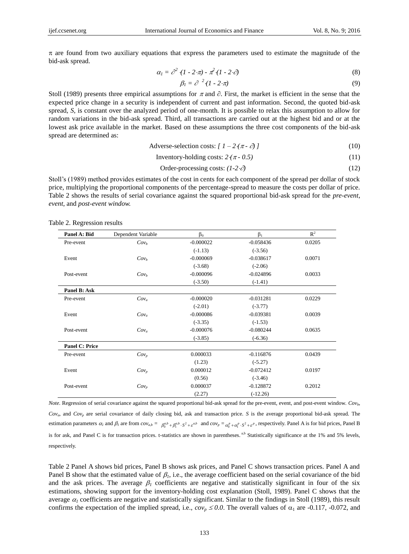$\pi$  are found from two auxiliary equations that express the parameters used to estimate the magnitude of the bid-ask spread.

$$
\alpha_l = \partial^2 \left(1 - 2 \cdot \pi\right) - \pi^2 \left(1 - 2 \cdot \partial\right) \tag{8}
$$

$$
\beta_l = \partial^{-2} (l - 2 \cdot \pi) \tag{9}
$$

Stoll (1989) presents three empirical assumptions for  $\pi$  and  $\partial$ . First, the market is efficient in the sense that the expected price change in a security is independent of current and past information. Second, the quoted bid-ask spread, *S*, is constant over the analyzed period of one-month. It is possible to relax this assumption to allow for random variations in the bid-ask spread. Third, all transactions are carried out at the highest bid and or at the lowest ask price available in the market. Based on these assumptions the three cost components of the bid-ask spread are determined as:

$$
Adverse-selection costs: [1 - 2(\pi - \partial)]
$$
\n(10)

Inventory-holding costs:  $2 \cdot (\pi - 0.5)$  (11)

Order-processing costs: 
$$
(1-2 \cdot \partial)
$$
 (12)

Stoll's (1989) method provides estimates of the cost in cents for each component of the spread per dollar of stock price, multiplying the proportional components of the percentage-spread to measure the costs per dollar of price. Table 2 shows the results of serial covariance against the squared proportional bid-ask spread for the *pre-event*, *event*, and *post-event window.*

Table 2. Regression results

| Panel A: Bid          | Dependent Variable | $\beta_0$   | $\beta_1$   | $R^2$  |
|-----------------------|--------------------|-------------|-------------|--------|
| Pre-event             | Cov <sub>b</sub>   | $-0.000022$ | $-0.058436$ | 0.0205 |
|                       |                    | $(-1.13)$   | $(-3.56)$   |        |
| Event                 | Cov <sub>b</sub>   | $-0.000069$ | $-0.038617$ | 0.0071 |
|                       |                    | $(-3.68)$   | $(-2.06)$   |        |
| Post-event            | Cov <sub>b</sub>   | $-0.000096$ | $-0.024896$ | 0.0033 |
|                       |                    | $(-3.50)$   | $(-1.41)$   |        |
| Panel B: Ask          |                    |             |             |        |
| Pre-event             | $Cov_a$            | $-0.000020$ | $-0.031281$ | 0.0229 |
|                       |                    | $(-2.01)$   | $(-3.77)$   |        |
| Event                 | $Cov_a$            | $-0.000086$ | $-0.039381$ | 0.0039 |
|                       |                    | $(-3.35)$   | $(-1.53)$   |        |
| Post-event            | $Cov_a$            | $-0.000076$ | $-0.080244$ | 0.0635 |
|                       |                    | $(-3.85)$   | $(-6.36)$   |        |
| <b>Panel C: Price</b> |                    |             |             |        |
| Pre-event             | $Cov_p$            | 0.000033    | $-0.116876$ | 0.0439 |
|                       |                    | (1.23)      | $(-5.27)$   |        |
| Event                 | $Cov_p$            | 0.000012    | $-0.072412$ | 0.0197 |
|                       |                    | (0.56)      | $(-3.46)$   |        |
| Post-event            | $Cov_p$            | 0.000037    | $-0.128872$ | 0.2012 |
|                       |                    | (2.27)      | $(-12.26)$  |        |

*Note.* Regression of serial covariance against the squared proportional bid-ask spread for the pre-event, event, and post-event window*. Covb*, *Cova*, and *Cov<sup>p</sup>* are serial covariance of daily closing bid, ask and transaction price. *S* is the average proportional bid-ask spread. The estimation parameters  $\alpha_l$  and  $\beta_l$  are from  $cov_{a,b} = \beta_0^{a,b} + \beta_1^{a,b} \cdot S^2 + \varepsilon^{a,b}$  and  $cov_p = \alpha_0^p + \alpha_1^p \cdot S^2 + \varepsilon^p$ , respectively. Panel A is for bid prices, Panel B is for ask, and Panel C is for transaction prices. t-statistics are shown in parentheses. <sup>a,b</sup> Statistically significance at the 1% and 5% levels, respectively.

Table 2 Panel A shows bid prices, Panel B shows ask prices, and Panel C shows transaction prices. Panel A and Panel B show that the estimated value of  $\beta_l$ , i.e., the average coefficient based on the serial covariance of the bid and the ask prices. The average  $\beta_1$  coefficients are negative and statistically significant in four of the six estimations, showing support for the inventory-holding cost explanation (Stoll, 1989). Panel C shows that the average  $\alpha_l$  coefficients are negative and statistically significant. Similar to the findings in Stoll (1989), this result confirms the expectation of the implied spread, i.e.,  $cov_p \le 0.0$ . The overall values of  $\alpha_1$  are -0.117, -0.072, and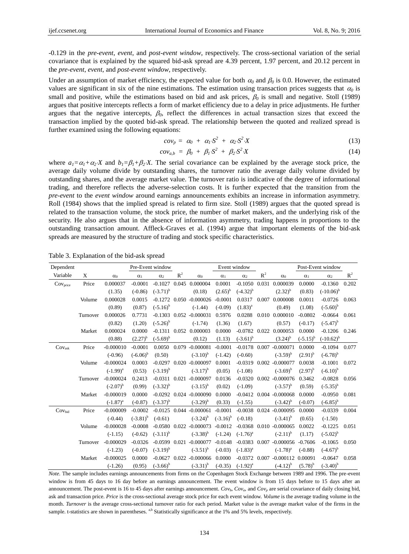-0.129 in the *pre-event*, *event*, and *post-event window*, respectively. The cross-sectional variation of the serial covariance that is explained by the squared bid-ask spread are 4.39 percent, 1.97 percent, and 20.12 percent in the *pre-event*, *event*, and *post-event window*, respectively.

Under an assumption of market efficiency, the expected value for both  $\alpha_0$  and  $\beta_0$  is 0.0. However, the estimated values are significant in six of the nine estimations. The estimation using transaction prices suggests that  $\alpha_0$  is small and positive, while the estimations based on bid and ask prices,  $\beta_0$  is small and negative. Stoll (1989) argues that positive intercepts reflects a form of market efficiency due to a delay in price adjustments. He further argues that the negative intercepts,  $\beta_0$ , reflect the differences in actual transaction sizes that exceed the transaction implied by the quoted bid-ask spread. The relationship between the quoted and realized spread is further examined using the following equations:

$$
cov_p = \alpha_0 + \alpha_1 S^2 + \alpha_2 S^2 X \qquad (13)
$$

$$
cov_{a,b} = \beta_0 + \beta_1 S^2 + \beta_2 S^2 X \qquad (14)
$$

where  $a_1 = \alpha_1 + \alpha_2 X$  and  $b_1 = \beta_1 + \beta_2 X$ . The serial covariance can be explained by the average stock price, the average daily volume divide by outstanding shares, the turnover ratio the average daily volume divided by outstanding shares, and the average market value. The turnover ratio is indicative of the degree of informational trading, and therefore reflects the adverse-selection costs. It is further expected that the transition from the *pre-event* to the *event window* around earnings announcements exhibits an increase in information asymmetry. Roll (1984) shows that the implied spread is related to firm size. Stoll (1989) argues that the quoted spread is related to the transaction volume, the stock price, the number of market makers, and the underlying risk of the security. He also argues that in the absence of information asymmetry, trading happens in proportions to the outstanding transaction amount. Affleck-Graves et al. (1994) argue that important elements of the bid-ask spreads are measured by the structure of trading and stock specific characteristics.

| Dependent            |          | Pre-Event window |               |               |       |                               | Event window  |                 |       | Post-Event window                   |               |                |       |
|----------------------|----------|------------------|---------------|---------------|-------|-------------------------------|---------------|-----------------|-------|-------------------------------------|---------------|----------------|-------|
| Variable             | X        | $\alpha_0$       | $\alpha_1$    | $\alpha_2$    | $R^2$ | $\alpha_0$                    | $\alpha_1$    | $\alpha_2$      | $R^2$ | $\alpha_0$                          | $\alpha_1$    | $\alpha_2$     | $R^2$ |
| Cov <sub>price</sub> | Price    | 0.000037         | $-0.0001$     | $-0.1027$     | 0.045 | 0.000004                      | 0.0001        | $-0.1050$       | 0.031 | 0.000039                            | 0.0000        | $-0.1360$      | 0.202 |
|                      |          | (1.35)           | $(-0.86)$     | $(-3.71)^{b}$ |       | (0.18)                        | $(2.65)^{b}$  | $(-4.32)^{b}$   |       | $(2.32)^{b}$                        | (0.83)        | $(-10.06)^{b}$ |       |
|                      | Volume   | 0.000028         | 0.0015        |               |       | $-0.1272$ 0.050 $-0.000026$   | $-0.0001$     | 0.0317          | 0.007 | 0.000008                            | 0.0011        | $-0.0726$      | 0.063 |
|                      |          | (0.89)           | (0.87)        | $(-5.16)^{b}$ |       | $(-1.44)$                     | $(-0.09)$     | $(1.83)^{a}$    |       | (0.49)                              | (1.08)        | $(-5.60)^{b}$  |       |
|                      | Turnover | 0.000026         | 0.7731        |               |       | $-0.1303$ $0.052$ $-0.000031$ | 0.5976        | 0.0288          | 0.010 | 0.000010                            | $-0.0802$     | $-0.0664$      | 0.061 |
|                      |          | (0.82)           | (1.20)        | $(-5.26)^{b}$ |       | $(-1.74)$                     | (1.36)        | (1.67)          |       | (0.57)                              | $(-0.17)$     | $(-5.47)^{b}$  |       |
|                      | Market   | 0.000024         | 0.0000        | $-0.1311$     | 0.052 | 0.000003                      | 0.0000        | $-0.0782$ 0.022 |       | 0.000053                            | 0.0000        | $-0.1206$      | 0.246 |
|                      |          | (0.88)           | $(2.27)^{b}$  | $(-5.69)^{b}$ |       | (0.12)                        | (1.13)        | $(-3.61)^{b}$   |       | $(3.24)^{b}$                        | $(-5.15)^{b}$ | $(-10.62)^{b}$ |       |
| Cov <sub>ask</sub>   | Price    | $-0.000010$      | $-0.0001$     | 0.0050        |       | 0.079 -0.000081               | $-0.0001$     |                 |       | $-0.0178$ 0.007 $-0.000071$         | 0.0000        | $-0.1094$      | 0.077 |
|                      |          | $(-0.96)$        | $(-6.06)^{b}$ | (0.50)        |       | $(-3.10)^{b}$                 | $(-1.42)$     | $(-0.60)$       |       | $(-3.59)^{b}$                       | $(2.91)^{b}$  | $(-6.78)^{b}$  |       |
|                      | Volume   | $-0.000024$      | 0.0003        | $-0.0297$     |       | $0.020 - 0.000097$            | 0.0001        |                 |       | $-0.0319$ $0.002$ $-0.000077$       | 0.0038        | $-0.1001$      | 0.072 |
|                      |          | $(-1.99)^{a}$    | (0.53)        | $(-3.19)^{b}$ |       | $(-3.17)^{b}$                 | (0.05)        | $(-1.08)$       |       | $(-3.69)^{b}$                       | $(2.97)^{b}$  | $(-6.10)^{b}$  |       |
|                      | Turnover | $-0.000024$      | 0.2413        |               |       | $-0.0311$ $0.021$ $-0.000097$ | 0.0136        |                 |       | $-0.0320$ $0.002$ $-0.000076$       | 0.3462        | $-0.0828$      | 0.056 |
|                      |          | $(-2.07)^{b}$    | (0.99)        | $(-3.32)^{b}$ |       | $(-3.15)^{b}$                 | (0.02)        | $(-1.09)$       |       | $(-3.57)^{b}$                       | (0.59)        | $(-5.35)^{b}$  |       |
|                      | Market   | $-0.000019$      | 0.0000        |               |       | $-0.0292$ $0.024$ $-0.000090$ | 0.0000        |                 |       | $-0.0412$ $0.004$ $-0.000068$       | 0.0000        | $-0.0950$      | 0.081 |
|                      |          | $(-1.87)^{a}$    | $(-0.87)$     | $(-3.37)^{b}$ |       | $(-3.29)^{b}$                 | (0.33)        | $(-1.55)$       |       | $(-3.42)^{b}$                       | $(-0.07)$     | $(-6.85)^{b}$  |       |
| $Cov_{bid}$          | Price    | $-0.000009$      | $-0.0002$     |               |       | $-0.0125$ 0.044 $-0.000061$   | $-0.0001$     |                 |       | $-0.0038$ $0.024$ $-0.000095$       | 0.0000        | $-0.0339$      | 0.004 |
|                      |          | $(-0.44)$        | $(-3.81)^{b}$ | $(-0.61)$     |       | $(-3.24)^{b}$                 | $(-3.16)^{b}$ | $(-0.18)$       |       | $(-3.41)^{b}$                       | (0.65)        | $(-1.50)$      |       |
|                      | Volume   | $-0.000028$      | $-0.0008$     |               |       | $-0.0580$ $0.022$ $-0.000073$ | $-0.0012$     |                 |       | $-0.0368$ $0.010$ $-0.000065$       | 0.0022        | $-0.1225$      | 0.051 |
|                      |          | $(-1.15)$        | $(-0.62)$     | $(-3.11)^{b}$ |       | $(-3.38)^{b}$                 | $(-1.24)$     | $(-1.76)^a$     |       | $(-2.11)^{b}$                       | (1.17)        | $(-5.02)^{b}$  |       |
|                      | Turnover | $-0.000029$      | $-0.0326$     |               |       | $-0.0599$ $0.021$ $-0.000077$ | $-0.0148$     |                 |       | $-0.0383$ 0.007 $-0.000056$         | $-0.7606$     | $-0.1065$      | 0.050 |
|                      |          | $(-1.23)$        | $(-0.07)$     | $(-3.19)^{b}$ |       | $(-3.51)^{b}$                 | $(-0.03)$     | $(-1.83)^{a}$   |       | $(-1.78)^{a}$                       | $(-0.88)$     | $(-4.67)^{b}$  |       |
|                      | Market   | $-0.000025$      | 0.0000        |               |       | $-0.0627$ 0.022 $-0.000066$   | 0.0000        |                 |       | $-0.0372$ 0.007 $-0.000112$ 0.00091 |               | $-0.0647$      | 0.058 |
|                      |          | $(-1.26)$        | (0.95)        | $(-3.66)^{b}$ |       | $(-3.31)^{b}$                 | $(-0.35)$     | $(-1.92)^{a}$   |       | $(-4.12)^{b}$                       | $(5.78)^{b}$  | $(-3.40)^{b}$  |       |

Table 3. Explanation of the bid-ask spread

*Note.* The sample includes earnings announcements from firms on the Copenhagen Stock Exchange between 1989 and 1996. The pre-event window is from 45 days to 16 day before an earnings announcement. The event window is from 15 days before to 15 days after an announcement. The post-event is 16 to 45 days after earnings announcement. *Covb*, *Cova,* and *Cov<sup>p</sup>* are serial covariance of daily closing bid, ask and transaction price. *Price* is the cross-sectional average stock price for each event window. *Volume* is the average trading volume in the month. *Turnover* is the average cross-sectional turnover ratio for each period. Market value is the average market value of the firms in the sample. t-statistics are shown in parentheses.  $a<sub>1</sub>b$  Statistically significance at the 1% and 5% levels, respectively.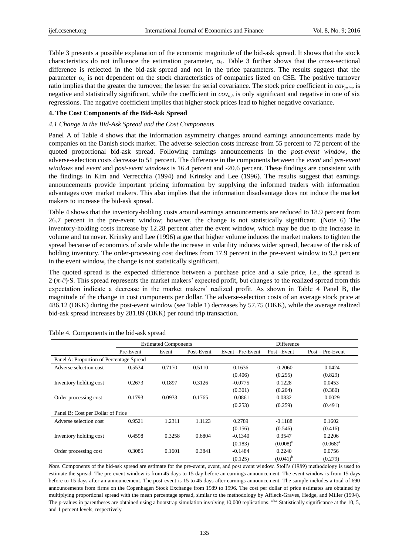Table 3 presents a possible explanation of the economic magnitude of the bid-ask spread. It shows that the stock characteristics do not influence the estimation parameter,  $\alpha_1$ . Table 3 further shows that the cross-sectional difference is reflected in the bid-ask spread and not in the price parameters. The results suggest that the parameter  $\alpha_1$  is not dependent on the stock characteristics of companies listed on CSE. The positive turnover ratio implies that the greater the turnover, the lesser the serial covariance. The stock price coefficient in *covprice* is negative and statistically significant, while the coefficient in  $cov_{a,b}$  is only significant and negative in one of six regressions. The negative coefficient implies that higher stock prices lead to higher negative covariance.

#### **4. The Cost Components of the Bid-Ask Spread**

### *4.1 Change in the Bid-Ask Spread and the Cost Components*

Panel A of Table 4 shows that the information asymmetry changes around earnings announcements made by companies on the Danish stock market. The adverse-selection costs increase from 55 percent to 72 percent of the quoted proportional bid-ask spread. Following earnings announcements in the *post-event window*, the adverse-selection costs decrease to 51 percent. The difference in the components between the *event* and *pre-event windows* and *event* and *post-event windows* is 16.4 percent and -20.6 percent. These findings are consistent with the findings in Kim and Verrecchia (1994) and Krinsky and Lee (1996). The results suggest that earnings announcements provide important pricing information by supplying the informed traders with information advantages over market makers. This also implies that the information disadvantage does not induce the market makers to increase the bid-ask spread.

Table 4 shows that the inventory-holding costs around earnings announcements are reduced to 18.9 percent from 26.7 percent in the pre-event window; however, the change is not statistically significant. (Note 6) The inventory-holding costs increase by 12.28 percent after the event window, which may be due to the increase in volume and turnover. Krinsky and Lee (1996) argue that higher volume induces the market makers to tighten the spread because of economics of scale while the increase in volatility induces wider spread, because of the risk of holding inventory. The order-processing cost declines from 17.9 percent in the pre-event window to 9.3 percent in the event window, the change is not statistically significant.

The quoted spread is the expected difference between a purchase price and a sale price, i.e., the spread is  $2\cdot(\pi-\partial)$ . This spread represents the market makers' expected profit, but changes to the realized spread from this expectation indicate a decrease in the market makers' realized profit. As shown in Table 4 Panel B, the magnitude of the change in cost components per dollar. The adverse-selection costs of an average stock price at 486.12 (DKK) during the post-event window (see Table 1) decreases by 57.75 (DKK), while the average realized bid-ask spread increases by 281.89 (DKK) per round trip transaction.

|                                          |           | <b>Estimated Components</b> |            | Difference      |                   |                    |  |
|------------------------------------------|-----------|-----------------------------|------------|-----------------|-------------------|--------------------|--|
|                                          | Pre-Event | Event                       | Post-Event | Event-Pre-Event | Post-Event        | $Post - Pre-Event$ |  |
| Panel A: Proportion of Percentage Spread |           |                             |            |                 |                   |                    |  |
| Adverse selection cost                   | 0.5534    | 0.7170                      | 0.5110     | 0.1636          | $-0.2060$         | $-0.0424$          |  |
|                                          |           |                             |            | (0.406)         | (0.295)           | (0.829)            |  |
| Inventory holding cost                   | 0.2673    | 0.1897                      | 0.3126     | $-0.0775$       | 0.1228            | 0.0453             |  |
|                                          |           |                             |            | (0.301)         | (0.204)           | (0.380)            |  |
| Order processing cost                    | 0.1793    | 0.0933                      | 0.1765     | $-0.0861$       | 0.0832            | $-0.0029$          |  |
|                                          |           |                             |            | (0.253)         | (0.259)           | (0.491)            |  |
| Panel B: Cost per Dollar of Price        |           |                             |            |                 |                   |                    |  |
| Adverse selection cost                   | 0.9521    | 1.2311                      | 1.1123     | 0.2789          | $-0.1188$         | 0.1602             |  |
|                                          |           |                             |            | (0.156)         | (0.546)           | (0.416)            |  |
| Inventory holding cost                   | 0.4598    | 0.3258                      | 0.6804     | $-0.1340$       | 0.3547            | 0.2206             |  |
|                                          |           |                             |            | (0.183)         | $(0.008)^{\circ}$ | $(0.068)^{a}$      |  |
| Order processing cost                    | 0.3085    | 0.1601                      | 0.3841     | $-0.1484$       | 0.2240            | 0.0756             |  |
|                                          |           |                             |            | (0.125)         | $(0.041)^{b}$     | (0.279)            |  |

Table 4. Components in the bid-ask spread

*Note.* Components of the bid-ask spread are estimate for the pre-event, event, and post event window. Stoll's (1989) methodology is used to estimate the spread. The pre-event window is from 45 days to 15 day before an earnings announcement. The event window is from 15 days before to 15 days after an announcement. The post-event is 15 to 45 days after earnings announcement. The sample includes a total of 690 announcements from firms on the Copenhagen Stock Exchange from 1989 to 1996. The cost per dollar of price estimates are obtained by multiplying proportional spread with the mean percentage spread, similar to the methodology by Affleck-Graves, Hedge, and Miller (1994). The p-values in parentheses are obtained using a bootstrap simulation involving 10,000 replications. <sup>a,b,c</sup> Statistically significance at the 10, 5, and 1 percent levels, respectively.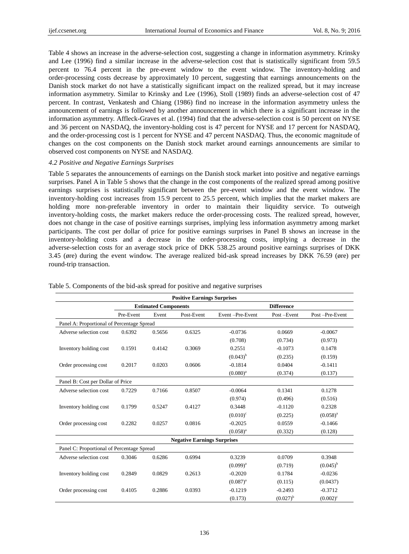Table 4 shows an increase in the adverse-selection cost, suggesting a change in information asymmetry. Krinsky and Lee (1996) find a similar increase in the adverse-selection cost that is statistically significant from 59.5 percent to 76.4 percent in the pre-event window to the event window. The inventory-holding and order-processing costs decrease by approximately 10 percent, suggesting that earnings announcements on the Danish stock market do not have a statistically significant impact on the realized spread, but it may increase information asymmetry. Similar to Krinsky and Lee (1996), Stoll (1989) finds an adverse-selection cost of 47 percent. In contrast, Venkatesh and Chiang (1986) find no increase in the information asymmetry unless the announcement of earnings is followed by another announcement in which there is a significant increase in the information asymmetry. Affleck-Graves et al. (1994) find that the adverse-selection cost is 50 percent on NYSE and 36 percent on NASDAQ, the inventory-holding cost is 47 percent for NYSE and 17 percent for NASDAQ, and the order-processing cost is 1 percent for NYSE and 47 percent NASDAQ. Thus, the economic magnitude of changes on the cost components on the Danish stock market around earnings announcements are similar to observed cost components on NYSE and NASDAQ.

## *4.2 Positive and Negative Earnings Surprises*

Table 5 separates the announcements of earnings on the Danish stock market into positive and negative earnings surprises. Panel A in Table 5 shows that the change in the cost components of the realized spread among positive earnings surprises is statistically significant between the pre-event window and the event window. The inventory-holding cost increases from 15.9 percent to 25.5 percent, which implies that the market makers are holding more non-preferable inventory in order to maintain their liquidity service. To outweigh inventory-holding costs, the market makers reduce the order-processing costs. The realized spread, however, does not change in the case of positive earnings surprises, implying less information asymmetry among market participants. The cost per dollar of price for positive earnings surprises in Panel B shows an increase in the inventory-holding costs and a decrease in the order-processing costs, implying a decrease in the adverse-selection costs for an average stock price of DKK 538.25 around positive earnings surprises of DKK 3.45 (øre) during the event window. The average realized bid-ask spread increases by DKK 76.59 (øre) per round-trip transaction.

| <b>Positive Earnings Surprises</b>         |           |                             |                                    |                   |                   |                |  |  |  |  |
|--------------------------------------------|-----------|-----------------------------|------------------------------------|-------------------|-------------------|----------------|--|--|--|--|
|                                            |           | <b>Estimated Components</b> |                                    |                   | <b>Difference</b> |                |  |  |  |  |
|                                            | Pre-Event | Event                       | Post-Event                         | Event-Pre-Event   | Post-Event        | Post-Pre-Event |  |  |  |  |
| Panel A: Proportional of Percentage Spread |           |                             |                                    |                   |                   |                |  |  |  |  |
| Adverse selection cost                     | 0.6392    | 0.5656                      | 0.6325                             | $-0.0736$         | 0.0669            | $-0.0067$      |  |  |  |  |
|                                            |           |                             |                                    | (0.708)           | (0.734)           | (0.973)        |  |  |  |  |
| Inventory holding cost                     | 0.1591    | 0.4142                      | 0.3069                             | 0.2551            | $-0.1073$         | 0.1478         |  |  |  |  |
|                                            |           |                             |                                    | $(0.043)^{b}$     | (0.235)           | (0.159)        |  |  |  |  |
| Order processing cost                      | 0.2017    | 0.0203                      | 0.0606                             | $-0.1814$         | 0.0404            | $-0.1411$      |  |  |  |  |
|                                            |           |                             |                                    | $(0.080)^{a}$     | (0.374)           | (0.137)        |  |  |  |  |
| Panel B: Cost per Dollar of Price          |           |                             |                                    |                   |                   |                |  |  |  |  |
| Adverse selection cost                     | 0.7229    | 0.7166                      | 0.8507                             | $-0.0064$         | 0.1341            | 0.1278         |  |  |  |  |
|                                            |           |                             |                                    | (0.974)           | (0.496)           | (0.516)        |  |  |  |  |
| Inventory holding cost                     | 0.1799    | 0.5247                      | 0.4127                             | 0.3448            | $-0.1120$         | 0.2328         |  |  |  |  |
|                                            |           |                             |                                    | $(0.010)^{\circ}$ | (0.225)           | $(0.058)^{a}$  |  |  |  |  |
| Order processing cost                      | 0.2282    | 0.0257                      | 0.0816                             | $-0.2025$         | 0.0559            | $-0.1466$      |  |  |  |  |
|                                            |           |                             |                                    | $(0.058)^{a}$     | (0.332)           | (0.128)        |  |  |  |  |
|                                            |           |                             | <b>Negative Earnings Surprises</b> |                   |                   |                |  |  |  |  |
| Panel C: Proportional of Percentage Spread |           |                             |                                    |                   |                   |                |  |  |  |  |
| Adverse selection cost                     | 0.3046    | 0.6286                      | 0.6994                             | 0.3239            | 0.0709            | 0.3948         |  |  |  |  |
|                                            |           |                             |                                    | $(0.099)^{a}$     | (0.719)           | $(0.045)^{b}$  |  |  |  |  |
| Inventory holding cost                     | 0.2849    | 0.0829                      | 0.2613                             | $-0.2020$         | 0.1784            | $-0.0236$      |  |  |  |  |
|                                            |           |                             |                                    | $(0.087)^{a}$     | (0.115)           | (0.0437)       |  |  |  |  |
| Order processing cost                      | 0.4105    | 0.2886                      | 0.0393                             | $-0.1219$         | $-0.2493$         | $-0.3712$      |  |  |  |  |
|                                            |           |                             |                                    | (0.173)           | $(0.027)^{b}$     | $(0.002)^{c}$  |  |  |  |  |

## Table 5. Components of the bid-ask spread for positive and negative surprises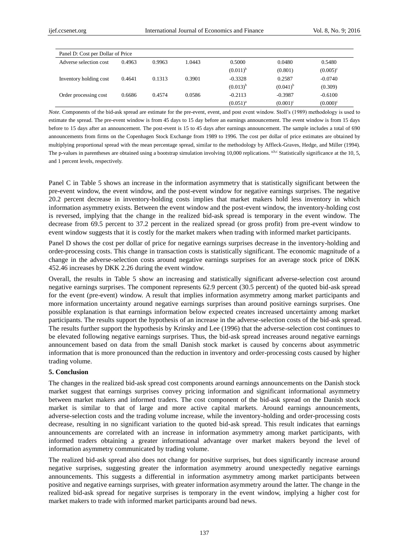| Panel D: Cost per Dollar of Price |        |        |        |               |                   |                   |  |  |  |  |
|-----------------------------------|--------|--------|--------|---------------|-------------------|-------------------|--|--|--|--|
| Adverse selection cost            | 0.4963 | 0.9963 | 1.0443 | 0.5000        | 0.0480            | 0.5480            |  |  |  |  |
|                                   |        |        |        | $(0.011)^{b}$ | (0.801)           | $(0.005)^{\circ}$ |  |  |  |  |
| Inventory holding cost            | 0.4641 | 0.1313 | 0.3901 | $-0.3328$     | 0.2587            | $-0.0740$         |  |  |  |  |
|                                   |        |        |        | $(0.013)^{b}$ | $(0.041)^{b}$     | (0.309)           |  |  |  |  |
| Order processing cost             | 0.6686 | 0.4574 | 0.0586 | $-0.2113$     | $-0.3987$         | $-0.6100$         |  |  |  |  |
|                                   |        |        |        | $(0.051)^{a}$ | $(0.001)^{\circ}$ | $(0.000)^{\circ}$ |  |  |  |  |

*Note.* Components of the bid-ask spread are estimate for the pre-event, event, and post event window. Stoll's (1989) methodology is used to estimate the spread. The pre-event window is from 45 days to 15 day before an earnings announcement. The event window is from 15 days before to 15 days after an announcement. The post-event is 15 to 45 days after earnings announcement. The sample includes a total of 690 announcements from firms on the Copenhagen Stock Exchange from 1989 to 1996. The cost per dollar of price estimates are obtained by multiplying proportional spread with the mean percentage spread, similar to the methodology by Affleck-Graves, Hedge, and Miller (1994). The p-values in parentheses are obtained using a bootstrap simulation involving 10,000 replications. a,b,c Statistically significance at the 10, 5, and 1 percent levels, respectively.

Panel C in Table 5 shows an increase in the information asymmetry that is statistically significant between the pre-event window, the event window, and the post-event window for negative earnings surprises. The negative 20.2 percent decrease in inventory-holding costs implies that market makers hold less inventory in which information asymmetry exists. Between the event window and the post-event window, the inventory-holding cost is reversed, implying that the change in the realized bid-ask spread is temporary in the event window. The decrease from 69.5 percent to 37.2 percent in the realized spread (or gross profit) from pre-event window to event window suggests that it is costly for the market makers when trading with informed market participants.

Panel D shows the cost per dollar of price for negative earnings surprises decrease in the inventory-holding and order-processing costs. This change in transaction costs is statistically significant. The economic magnitude of a change in the adverse-selection costs around negative earnings surprises for an average stock price of DKK 452.46 increases by DKK 2.26 during the event window.

Overall, the results in Table 5 show an increasing and statistically significant adverse-selection cost around negative earnings surprises. The component represents 62.9 percent (30.5 percent) of the quoted bid-ask spread for the event (pre-event) window. A result that implies information asymmetry among market participants and more information uncertainty around negative earnings surprises than around positive earnings surprises. One possible explanation is that earnings information below expected creates increased uncertainty among market participants. The results support the hypothesis of an increase in the adverse-selection costs of the bid-ask spread. The results further support the hypothesis by Krinsky and Lee (1996) that the adverse-selection cost continues to be elevated following negative earnings surprises. Thus, the bid-ask spread increases around negative earnings announcement based on data from the small Danish stock market is caused by concerns about asymmetric information that is more pronounced than the reduction in inventory and order-processing costs caused by higher trading volume.

#### **5. Conclusion**

The changes in the realized bid-ask spread cost components around earnings announcements on the Danish stock market suggest that earnings surprises convey pricing information and significant informational asymmetry between market makers and informed traders. The cost component of the bid-ask spread on the Danish stock market is similar to that of large and more active capital markets. Around earnings announcements, adverse-selection costs and the trading volume increase, while the inventory-holding and order-processing costs decrease, resulting in no significant variation to the quoted bid-ask spread. This result indicates that earnings announcements are correlated with an increase in information asymmetry among market participants, with informed traders obtaining a greater informational advantage over market makers beyond the level of information asymmetry communicated by trading volume.

The realized bid-ask spread also does not change for positive surprises, but does significantly increase around negative surprises, suggesting greater the information asymmetry around unexpectedly negative earnings announcements. This suggests a differential in information asymmetry among market participants between positive and negative earnings surprises, with greater information asymmetry around the latter. The change in the realized bid-ask spread for negative surprises is temporary in the event window, implying a higher cost for market makers to trade with informed market participants around bad news.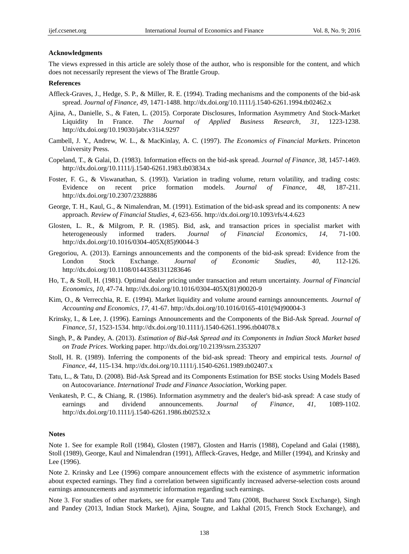#### **Acknowledgments**

The views expressed in this article are solely those of the author, who is responsible for the content, and which does not necessarily represent the views of The Brattle Group.

#### **References**

- Affleck-Graves, J., Hedge, S. P., & Miller, R. E. (1994). Trading mechanisms and the components of the bid-ask spread. *Journal of Finance, 49*, 1471-1488. http://dx.doi.org/10.1111/j.1540-6261.1994.tb02462.x
- Ajina, A., Danielle, S., & Faten, L. (2015). Corporate Disclosures, Information Asymmetry And Stock-Market Liquidity In France. *The Journal of Applied Business Research, 31*, 1223-1238. http://dx.doi.org/10.19030/jabr.v31i4.9297
- Cambell, J. Y., Andrew, W. L., & MacKinlay, A. C. (1997). *The Economics of Financial Markets*. Princeton University Press.
- Copeland, T., & Galai, D. (1983). Information effects on the bid-ask spread. *Journal of Finance, 38*, 1457-1469. http://dx.doi.org/10.1111/j.1540-6261.1983.tb03834.x
- Foster, F. G., & Viswanathan, S. (1993). Variation in trading volume, return volatility, and trading costs: Evidence on recent price formation models. *Journal of Finance, 48*, 187-211. http://dx.doi.org/10.2307/2328886
- George, T. H., Kaul, G., & Nimalendran, M. (1991). Estimation of the bid-ask spread and its components: A new approach. *Review of Financial Studies, 4*, 623-656. http://dx.doi.org/10.1093/rfs/4.4.623
- Glosten, L. R., & Milgrom, P. R. (1985). Bid, ask, and transaction prices in specialist market with heterogeneously informed traders. *Journal of Financial Economics, 14*, 71-100. http://dx.doi.org/10.1016/0304-405X(85)90044-3
- Gregoriou, A. (2013). Earnings announcements and the components of the bid-ask spread: Evidence from the London Stock Exchange. *Journal of Economic Studies, 40*, 112-126. http://dx.doi.org/10.1108/01443581311283646
- Ho, T., & Stoll, H. (1981). Optimal dealer pricing under transaction and return uncertainty. *Journal of Financial Economics, 10*, 47-74. http://dx.doi.org/10.1016/0304-405X(81)90020-9
- Kim, O., & Verrecchia, R. E. (1994). Market liquidity and volume around earnings announcements. *Journal of Accounting and Economics, 17*, 41-67. http://dx.doi.org/10.1016/0165-4101(94)90004-3
- Krinsky, I., & Lee, J. (1996). Earnings Announcements and the Components of the Bid-Ask Spread. *Journal of Finance, 51*, 1523-1534. http://dx.doi.org/10.1111/j.1540-6261.1996.tb04078.x
- Singh, P., & Pandey, A. (2013). *Estimation of Bid-Ask Spread and its Components in Indian Stock Market based on Trade Prices.* Working paper. http://dx.doi.org/10.2139/ssrn.2353207
- Stoll, H. R. (1989). Inferring the components of the bid-ask spread: Theory and empirical tests. *Journal of Finance, 44,* 115-134. http://dx.doi.org/10.1111/j.1540-6261.1989.tb02407.x
- Tatu, L., & Tatu, D. (2008). Bid-Ask Spread and its Components Estimation for BSE stocks Using Models Based on Autocovariance. *International Trade and Finance Association*, Working paper.
- Venkatesh, P. C., & Chiang, R. (1986). Information asymmetry and the dealer's bid-ask spread: A case study of earnings and dividend announcements. *Journal of Finance, 41*, 1089-1102. http://dx.doi.org/10.1111/j.1540-6261.1986.tb02532.x

## **Notes**

Note 1. See for example Roll (1984), Glosten (1987), Glosten and Harris (1988), Copeland and Galai (1988), Stoll (1989), George, Kaul and Nimalendran (1991), Affleck-Graves, Hedge, and Miller (1994), and Krinsky and Lee (1996).

Note 2. Krinsky and Lee (1996) compare announcement effects with the existence of asymmetric information about expected earnings. They find a correlation between significantly increased adverse-selection costs around earnings announcements and asymmetric information regarding such earnings.

Note 3. For studies of other markets, see for example Tatu and Tatu (2008, Bucharest Stock Exchange), Singh and Pandey (2013, Indian Stock Market), Ajina, Sougne, and Lakhal (2015, French Stock Exchange), and